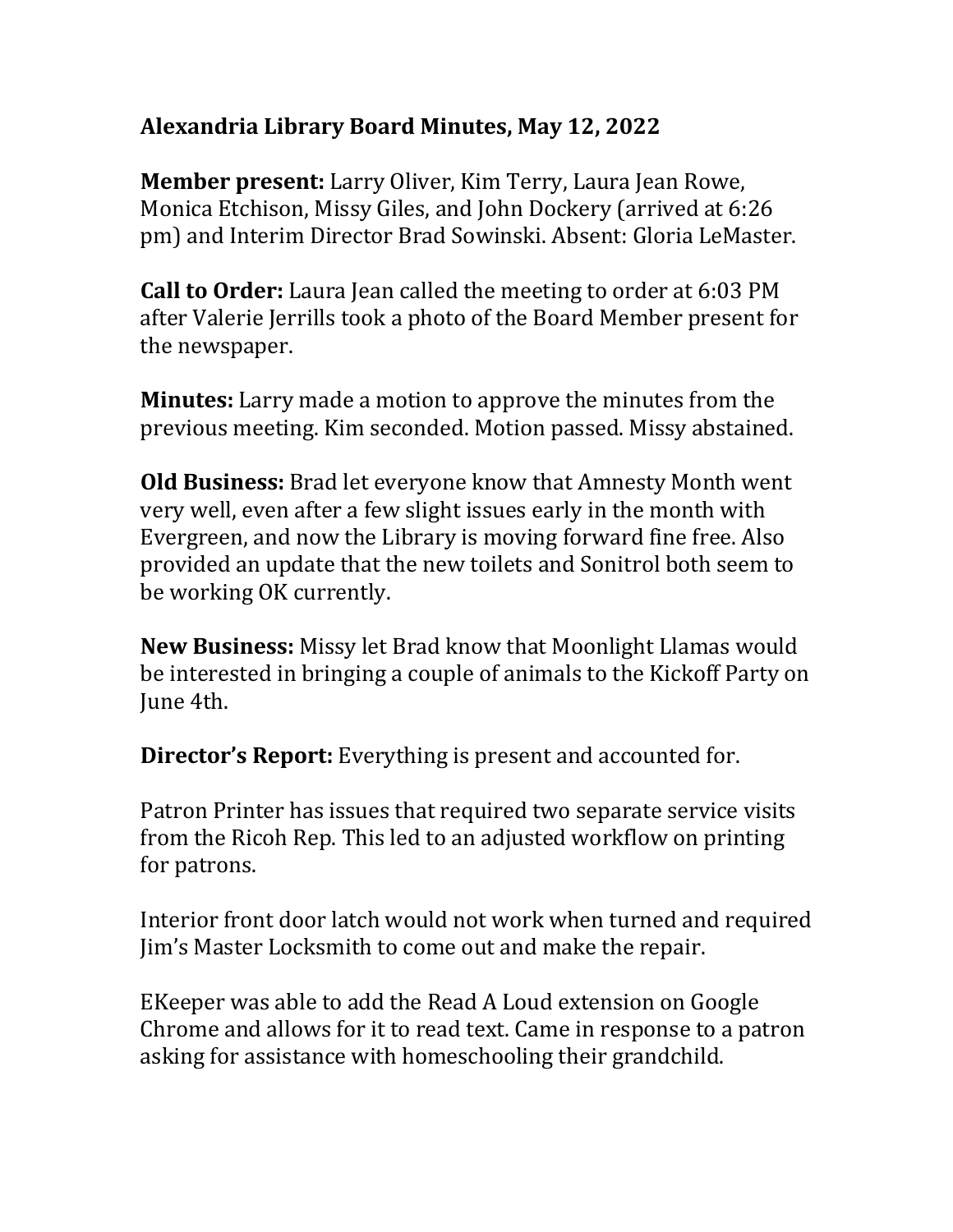## **Alexandria Library Board Minutes, May 12, 2022**

**Member present:** Larry Oliver, Kim Terry, Laura Jean Rowe, Monica Etchison, Missy Giles, and John Dockery (arrived at 6:26 pm) and Interim Director Brad Sowinski. Absent: Gloria LeMaster.

**Call to Order:** Laura Jean called the meeting to order at 6:03 PM after Valerie Jerrills took a photo of the Board Member present for the newspaper.

**Minutes:** Larry made a motion to approve the minutes from the previous meeting. Kim seconded. Motion passed. Missy abstained.

**Old Business:** Brad let everyone know that Amnesty Month went very well, even after a few slight issues early in the month with Evergreen, and now the Library is moving forward fine free. Also provided an update that the new toilets and Sonitrol both seem to be working OK currently.

**New Business:** Missy let Brad know that Moonlight Llamas would be interested in bringing a couple of animals to the Kickoff Party on June 4th.

**Director's Report:** Everything is present and accounted for.

Patron Printer has issues that required two separate service visits from the Ricoh Rep. This led to an adjusted workflow on printing for patrons.

Interior front door latch would not work when turned and required Jim's Master Locksmith to come out and make the repair.

EKeeper was able to add the Read A Loud extension on Google Chrome and allows for it to read text. Came in response to a patron asking for assistance with homeschooling their grandchild.